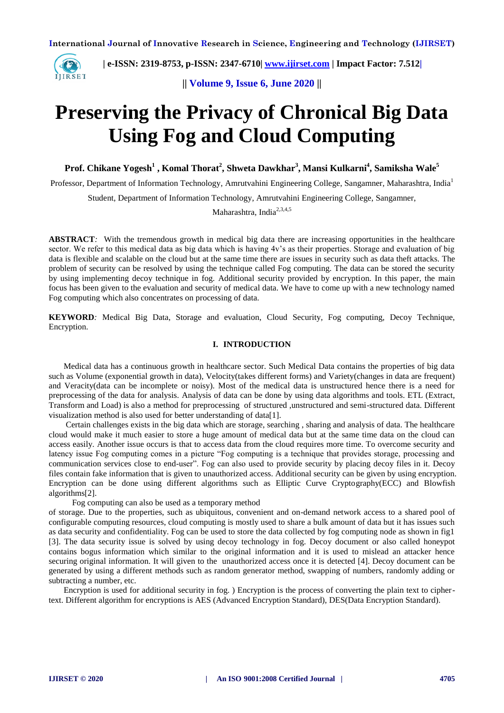

 **| e-ISSN: 2319-8753, p-ISSN: 2347-6710| [www.ijirset.com](http://www.ijirset.com/) | Impact Factor: 7.512|**

**|| Volume 9, Issue 6, June 2020 ||** 

# **Preserving the Privacy of Chronical Big Data Using Fog and Cloud Computing**

**Prof. Chikane Yogesh<sup>1</sup> , Komal Thorat<sup>2</sup> , Shweta Dawkhar<sup>3</sup> , Mansi Kulkarni<sup>4</sup> , Samiksha Wale<sup>5</sup>**

Professor, Department of Information Technology, Amrutvahini Engineering College, Sangamner, Maharashtra, India<sup>1</sup>

Student, Department of Information Technology, Amrutvahini Engineering College, Sangamner,

Maharashtra, India<sup>2,3,4,5</sup>

**ABSTRACT**: With the tremendous growth in medical big data there are increasing opportunities in the healthcare sector. We refer to this medical data as big data which is having 4v's as their properties. Storage and evaluation of big data is flexible and scalable on the cloud but at the same time there are issues in security such as data theft attacks. The problem of security can be resolved by using the technique called Fog computing. The data can be stored the security by using implementing decoy technique in fog. Additional security provided by encryption. In this paper, the main focus has been given to the evaluation and security of medical data. We have to come up with a new technology named Fog computing which also concentrates on processing of data.

**KEYWORD***:* Medical Big Data, Storage and evaluation, Cloud Security, Fog computing, Decoy Technique, Encryption.

## **I. INTRODUCTION**

 Medical data has a continuous growth in healthcare sector. Such Medical Data contains the properties of big data such as Volume (exponential growth in data), Velocity(takes different forms) and Variety(changes in data are frequent) and Veracity(data can be incomplete or noisy). Most of the medical data is unstructured hence there is a need for preprocessing of the data for analysis. Analysis of data can be done by using data algorithms and tools. ETL (Extract, Transform and Load) is also a method for preprocessing of structured ,unstructured and semi-structured data. Different visualization method is also used for better understanding of data[1].

 Certain challenges exists in the big data which are storage, searching , sharing and analysis of data. The healthcare cloud would make it much easier to store a huge amount of medical data but at the same time data on the cloud can access easily. Another issue occurs is that to access data from the cloud requires more time. To overcome security and latency issue Fog computing comes in a picture "Fog computing is a technique that provides storage, processing and communication services close to end-user". Fog can also used to provide security by placing decoy files in it. Decoy files contain fake information that is given to unauthorized access. Additional security can be given by using encryption. Encryption can be done using different algorithms such as Elliptic Curve Cryptography(ECC) and Blowfish algorithms[2].

Fog computing can also be used as a temporary method

of storage. Due to the properties, such as ubiquitous, convenient and on-demand network access to a shared pool of configurable computing resources, cloud computing is mostly used to share a bulk amount of data but it has issues such as data security and confidentiality. Fog can be used to store the data collected by fog computing node as shown in fig1 [3]. The data security issue is solved by using decoy technology in fog. Decoy document or also called honeypot contains bogus information which similar to the original information and it is used to mislead an attacker hence securing original information. It will given to the unauthorized access once it is detected [4]. Decoy document can be generated by using a different methods such as random generator method, swapping of numbers, randomly adding or subtracting a number, etc.

 Encryption is used for additional security in fog. ) Encryption is the process of converting the plain text to ciphertext. Different algorithm for encryptions is AES (Advanced Encryption Standard), DES(Data Encryption Standard).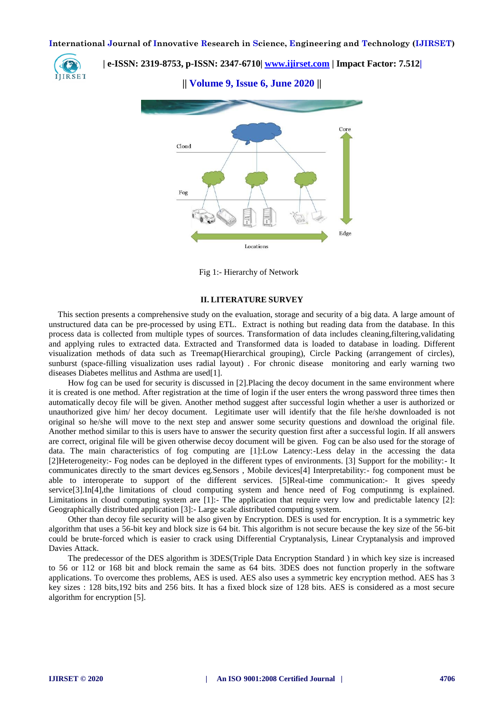

 **| e-ISSN: 2319-8753, p-ISSN: 2347-6710| [www.ijirset.com](http://www.ijirset.com/) | Impact Factor: 7.512|**

**|| Volume 9, Issue 6, June 2020 ||** 



Fig 1:- Hierarchy of Network

#### **II. LITERATURE SURVEY**

This section presents a comprehensive study on the evaluation, storage and security of a big data. A large amount of unstructured data can be pre-processed by using ETL. Extract is nothing but reading data from the database. In this process data is collected from multiple types of sources. Transformation of data includes cleaning,filtering,validating and applying rules to extracted data. Extracted and Transformed data is loaded to database in loading. Different visualization methods of data such as Treemap(Hierarchical grouping), Circle Packing (arrangement of circles), sunburst (space-filling visualization uses radial layout) . For chronic disease monitoring and early warning two diseases Diabetes mellitus and Asthma are used[1].

 How fog can be used for security is discussed in [2].Placing the decoy document in the same environment where it is created is one method. After registration at the time of login if the user enters the wrong password three times then automatically decoy file will be given. Another method suggest after successful login whether a user is authorized or unauthorized give him/ her decoy document. Legitimate user will identify that the file he/she downloaded is not original so he/she will move to the next step and answer some security questions and download the original file. Another method similar to this is users have to answer the security question first after a successful login. If all answers are correct, original file will be given otherwise decoy document will be given. Fog can be also used for the storage of data. The main characteristics of fog computing are [1]:Low Latency:-Less delay in the accessing the data [2]Heterogeneity:- Fog nodes can be deployed in the different types of environments. [3] Support for the mobility:- It communicates directly to the smart devices eg.Sensors , Mobile devices[4] Interpretability:- fog component must be able to interoperate to support of the different services. [5]Real-time communication:- It gives speedy service[3].In[4],the limitations of cloud computing system and hence need of Fog computinmg is explained. Limitations in cloud computing system are [1]:- The application that require very low and predictable latency [2]: Geographically distributed application [3]:- Large scale distributed computing system.

 Other than decoy file security will be also given by Encryption. DES is used for encryption. It is a symmetric key algorithm that uses a 56-bit key and block size is 64 bit. This algorithm is not secure because the key size of the 56-bit could be brute-forced which is easier to crack using Differential Cryptanalysis, Linear Cryptanalysis and improved Davies Attack.

 The predecessor of the DES algorithm is 3DES(Triple Data Encryption Standard ) in which key size is increased to 56 or 112 or 168 bit and block remain the same as 64 bits. 3DES does not function properly in the software applications. To overcome thes problems, AES is used. AES also uses a symmetric key encryption method. AES has 3 key sizes : 128 bits,192 bits and 256 bits. It has a fixed block size of 128 bits. AES is considered as a most secure algorithm for encryption [5].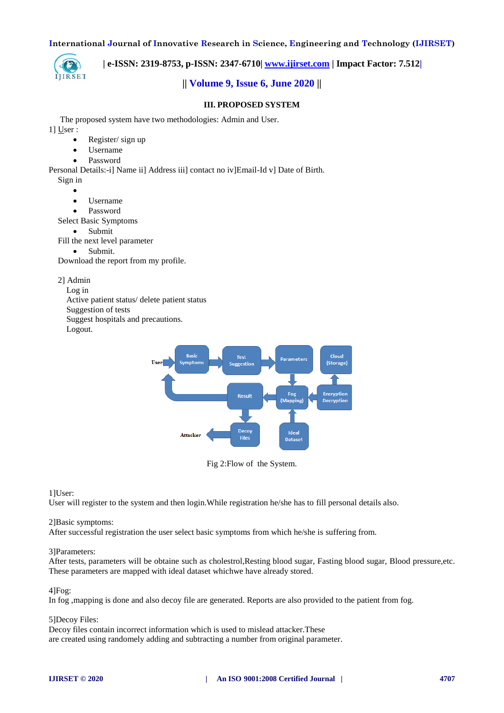

 **| e-ISSN: 2319-8753, p-ISSN: 2347-6710| [www.ijirset.com](http://www.ijirset.com/) | Impact Factor: 7.512|**

# **|| Volume 9, Issue 6, June 2020 ||**

## **III. PROPOSED SYSTEM**

The proposed system have two methodologies: Admin and User.

1] User :

- Register/ sign up
- Username
- Password

Personal Details:-i] Name ii] Address iii] contact no iv]Email-Id v] Date of Birth. Sign in

 $\bullet$ 

- Username
- Password
- Select Basic Symptoms
	- Submit

Fill the next level parameter

• Submit.

Download the report from my profile.

2] Admin

Log in

Active patient status/ delete patient status

Suggestion of tests

Suggest hospitals and precautions.

Logout.



Fig 2:Flow of the System.

1]User:

User will register to the system and then login.While registration he/she has to fill personal details also.

#### 2]Basic symptoms:

After successful registration the user select basic symptoms from which he/she is suffering from.

#### 3]Parameters:

After tests, parameters will be obtaine such as cholestrol,Resting blood sugar, Fasting blood sugar, Blood pressure,etc. These parameters are mapped with ideal dataset whichwe have already stored.

# 4]Fog:

In fog ,mapping is done and also decoy file are generated. Reports are also provided to the patient from fog.

#### 5]Decoy Files:

Decoy files contain incorrect information which is used to mislead attacker.These are created using randomely adding and subtracting a number from original parameter.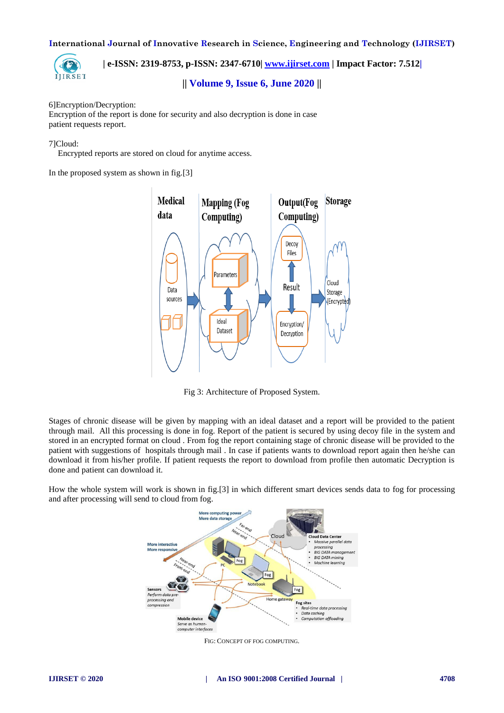

 **| e-ISSN: 2319-8753, p-ISSN: 2347-6710| [www.ijirset.com](http://www.ijirset.com/) | Impact Factor: 7.512|**

**|| Volume 9, Issue 6, June 2020 ||** 

## 6]Encryption/Decryption:

Encryption of the report is done for security and also decryption is done in case patient requests report.

## 7]Cloud:

Encrypted reports are stored on cloud for anytime access.

In the proposed system as shown in fig.[3]



Fig 3: Architecture of Proposed System.

Stages of chronic disease will be given by mapping with an ideal dataset and a report will be provided to the patient through mail. All this processing is done in fog. Report of the patient is secured by using decoy file in the system and stored in an encrypted format on cloud . From fog the report containing stage of chronic disease will be provided to the patient with suggestions of hospitals through mail . In case if patients wants to download report again then he/she can download it from his/her profile. If patient requests the report to download from profile then automatic Decryption is done and patient can download it.

How the whole system will work is shown in fig.[3] in which different smart devices sends data to fog for processing and after processing will send to cloud from fog.



FIG: CONCEPT OF FOG COMPUTING.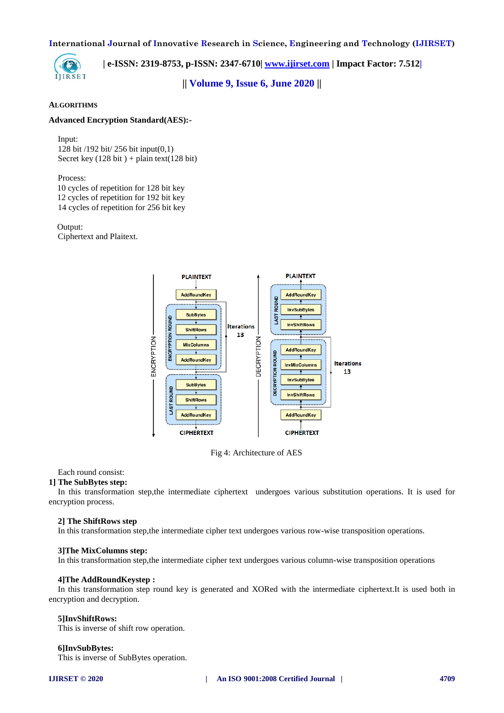

 **| e-ISSN: 2319-8753, p-ISSN: 2347-6710| [www.ijirset.com](http://www.ijirset.com/) | Impact Factor: 7.512|**

**|| Volume 9, Issue 6, June 2020 ||** 

#### **ALGORITHMS**

## **Advanced Encryption Standard(AES):-**

#### Input:

128 bit /192 bit/ 256 bit input(0,1) Secret key  $(128 \text{ bit}) + \text{plain text}(128 \text{ bit})$ 

Process:

 10 cycles of repetition for 128 bit key 12 cycles of repetition for 192 bit key 14 cycles of repetition for 256 bit key

 Output: Ciphertext and Plaitext.



Fig 4: Architecture of AES

Each round consist:

#### **1] The SubBytes step:**

In this transformation step,the intermediate ciphertext undergoes various substitution operations. It is used for encryption process.

#### **2] The ShiftRows step**

In this transformation step,the intermediate cipher text undergoes various row-wise transposition operations.

#### **3]The MixColumns step:**

In this transformation step,the intermediate cipher text undergoes various column-wise transposition operations

#### **4]The AddRoundKeystep :**

In this transformation step round key is generated and XORed with the intermediate ciphertext.It is used both in encryption and decryption.

#### **5]InvShiftRows:**

This is inverse of shift row operation.

#### **6]InvSubBytes:**

This is inverse of SubBytes operation.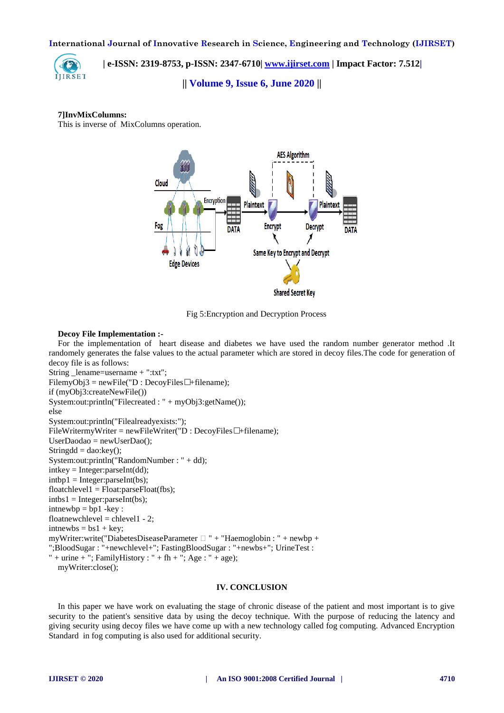

 **| e-ISSN: 2319-8753, p-ISSN: 2347-6710| [www.ijirset.com](http://www.ijirset.com/) | Impact Factor: 7.512|**

**|| Volume 9, Issue 6, June 2020 ||** 

### **7]InvMixColumns:**

This is inverse of MixColumns operation.



Fig 5:Encryption and Decryption Process

#### **Decoy File Implementation :-**

For the implementation of heart disease and diabetes we have used the random number generator method .It randomely generates the false values to the actual parameter which are stored in decoy files.The code for generation of decoy file is as follows:

```
String _lename=username + ":txt";
FilemyObj3 = newFile("D : DecoyFiles^{\bullet} + filename);if (myObj3:createNewFile())
System:out:println("Filecreated : " + myObj3:getName());
else
System:out:println("Filealreadyexists:");
FileWritermyWriter = newFileWriter("D : DecoyFiles• +filename);
UserDaodao = newUserDao:
Stringdd = dao:key();
System:out:println("RandomNumber : " + dd);
intkey = Integer:parseInt(dd);intbp1 = Integer:parseInt(bs);floatchevel1 = Float:parseFloat(fbs);intbs1 = Integer:parseInt(bs);intnewbp = bp1 - key:floatnewchlevel = chlevel 1 - 2;
intnewbs = bs1 + key;myWriter:write("DiabetesDiseaseParameter \Box " + "Haemoglobin : " + newbp +
";BloodSugar : "+newchlevel+"; FastingBloodSugar : "+newbs+"; UrineTest :
" + urine + "; FamilyHistory : " + fh + "; Age : " + age);
  myWriter:close();
```
## **IV. CONCLUSION**

In this paper we have work on evaluating the stage of chronic disease of the patient and most important is to give security to the patient's sensitive data by using the decoy technique. With the purpose of reducing the latency and giving security using decoy files we have come up with a new technology called fog computing. Advanced Encryption Standard in fog computing is also used for additional security.